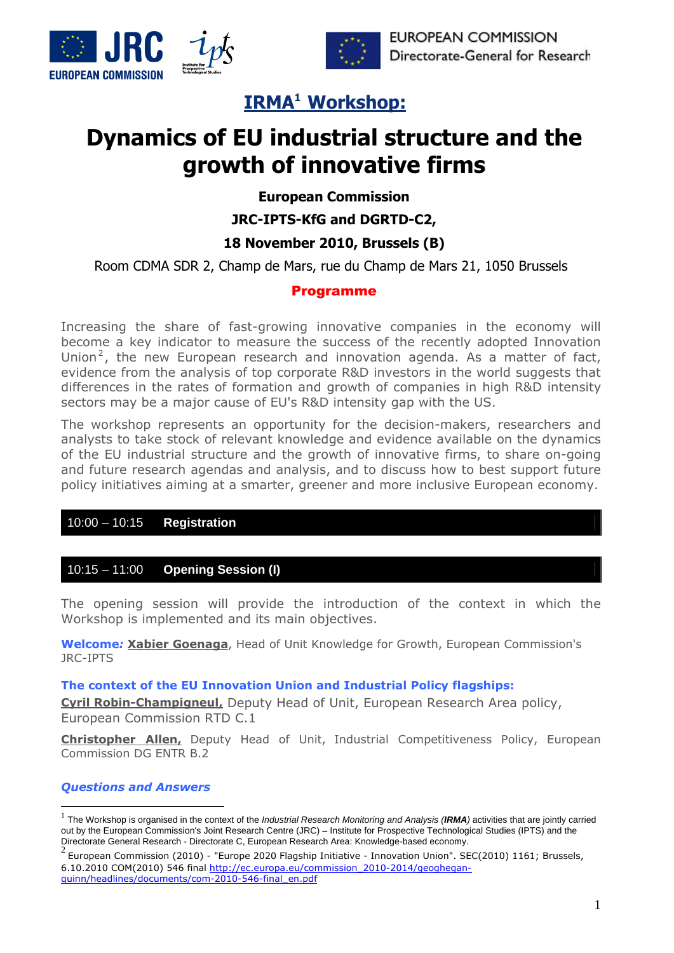



**EUROPEAN COMMISSION** Directorate-General for Research

## **IRMA1 Workshop:**

# **Dynamics of EU industrial structure and the growth of innovative firms**

**European Commission** 

**JRC-IPTS-KfG and DGRTD-C2,** 

## **18 November 2010, Brussels (B)**

Room CDMA SDR 2, Champ de Mars, rue du Champ de Mars 21, 1050 Brussels

## Programme

Increasing the share of fast-growing innovative companies in the economy will become a key indicator to measure the success of the recently adopted Innovation Union<sup>2</sup>, the new European research and innovation agenda. As a matter of fact, evidence from the analysis of top corporate R&D investors in the world suggests that differences in the rates of formation and growth of companies in high R&D intensity sectors may be a major cause of EU's R&D intensity gap with the US.

The workshop represents an opportunity for the decision-makers, researchers and analysts to take stock of relevant knowledge and evidence available on the dynamics of the EU industrial structure and the growth of innovative firms, to share on-going and future research agendas and analysis, and to discuss how to best support future policy initiatives aiming at a smarter, greener and more inclusive European economy.

## 10:00 – 10:15 **Registration**

## 10:15 – 11:00 **Opening Session (I)**

The opening session will provide the introduction of the context in which the Workshop is implemented and its main objectives.

**Welcome***:* **Xabier Goenaga**, Head of Unit Knowledge for Growth, European Commission's JRC-IPTS

## **The context of the EU Innovation Union and Industrial Policy flagships:**

**Cyril Robin-Champigneul,** Deputy Head of Unit, European Research Area policy, European Commission RTD C.1

**Christopher Allen,** Deputy Head of Unit, Industrial Competitiveness Policy, European Commission DG ENTR B.2

## *Questions and Answers*

1

 $^2$  European Commission (2010) - "Europe 2020 Flagship Initiative - Innovation Union". SEC(2010) 1161; Brussels, 6.10.2010 COM(2010) 546 final [http://ec.europa.eu/commission\\_2010-2014/geoghegan](http://ec.europa.eu/commission_2010-2014/geoghegan-quinn/headlines/documents/com-2010-546-final_en.pdf)[quinn/headlines/documents/com-2010-546-final\\_en.pdf](http://ec.europa.eu/commission_2010-2014/geoghegan-quinn/headlines/documents/com-2010-546-final_en.pdf)

<sup>1</sup> The Workshop is organised in the context of the *Industrial Research Monitoring and Analysis (IRMA)* activities that are jointly carried out by the European Commission's Joint Research Centre (JRC) – Institute for Prospective Technological Studies (IPTS) and the Directorate General Research - Directorate C, European Research Area: Knowledge-based economy.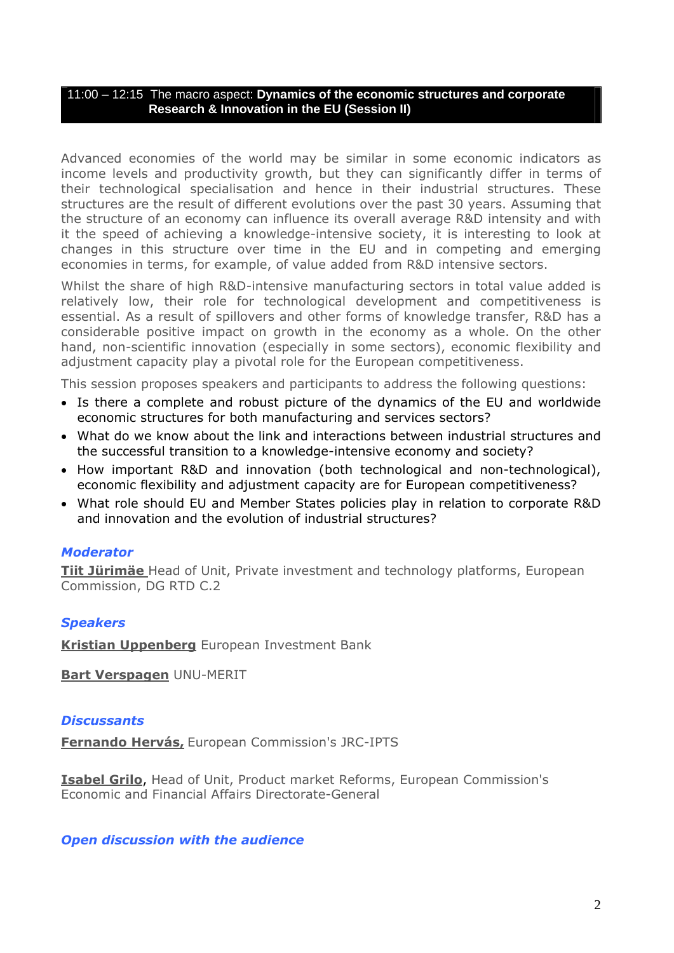## 11:00 – 12:15 The macro aspect: **Dynamics of the economic structures and corporate Research & Innovation in the EU (Session II)**

Advanced economies of the world may be similar in some economic indicators as income levels and productivity growth, but they can significantly differ in terms of their technological specialisation and hence in their industrial structures. These structures are the result of different evolutions over the past 30 years. Assuming that the structure of an economy can influence its overall average R&D intensity and with it the speed of achieving a knowledge-intensive society, it is interesting to look at changes in this structure over time in the EU and in competing and emerging economies in terms, for example, of value added from R&D intensive sectors.

Whilst the share of high R&D-intensive manufacturing sectors in total value added is relatively low, their role for technological development and competitiveness is essential. As a result of spillovers and other forms of knowledge transfer, R&D has a considerable positive impact on growth in the economy as a whole. On the other hand, non-scientific innovation (especially in some sectors), economic flexibility and adjustment capacity play a pivotal role for the European competitiveness.

This session proposes speakers and participants to address the following questions:

- Is there a complete and robust picture of the dynamics of the EU and worldwide economic structures for both manufacturing and services sectors?
- What do we know about the link and interactions between industrial structures and the successful transition to a knowledge-intensive economy and society?
- How important R&D and innovation (both technological and non-technological), economic flexibility and adjustment capacity are for European competitiveness?
- What role should EU and Member States policies play in relation to corporate R&D and innovation and the evolution of industrial structures?

## *Moderator*

**Tiit Jürimäe** Head of Unit, Private investment and technology platforms, European Commission, DG RTD C.2

## *Speakers*

**Kristian Uppenberg** European Investment Bank

**Bart Verspagen** UNU-MERIT

## *Discussants*

**Fernando Hervás,** European Commission's JRC-IPTS

**Isabel Grilo**, Head of Unit, Product market Reforms, European Commission's Economic and Financial Affairs Directorate-General

## *Open discussion with the audience*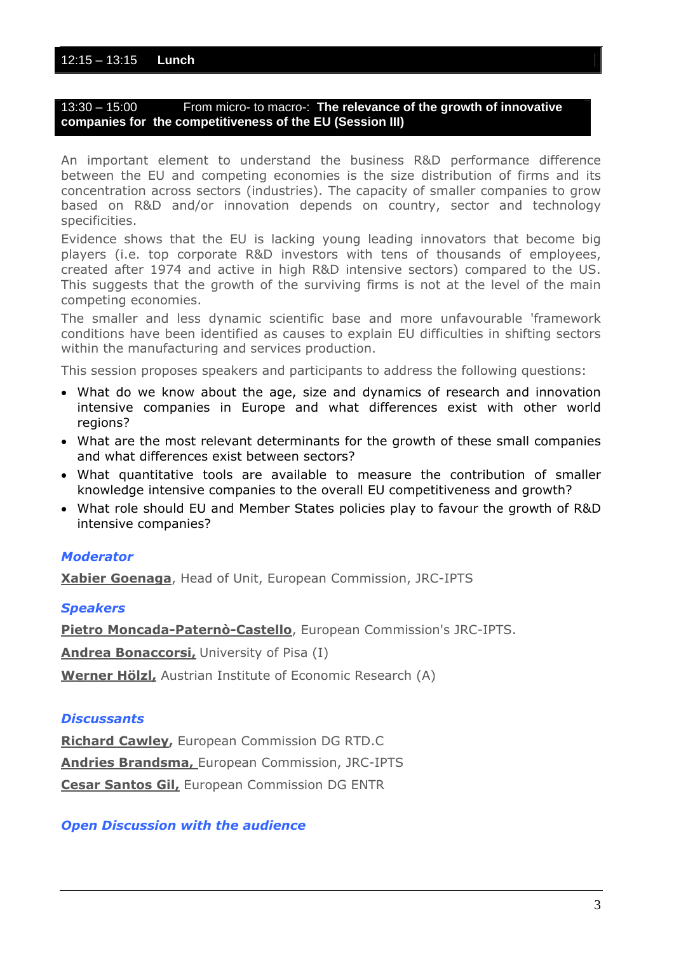## 12:15 – 13:15 **Lunch**

## 13:30 – 15:00 From micro- to macro-: **The relevance of the growth of innovative companies for the competitiveness of the EU (Session III)**

An important element to understand the business R&D performance difference between the EU and competing economies is the size distribution of firms and its concentration across sectors (industries). The capacity of smaller companies to grow based on R&D and/or innovation depends on country, sector and technology specificities.

Evidence shows that the EU is lacking young leading innovators that become big players (i.e. top corporate R&D investors with tens of thousands of employees, created after 1974 and active in high R&D intensive sectors) compared to the US. This suggests that the growth of the surviving firms is not at the level of the main competing economies.

The smaller and less dynamic scientific base and more unfavourable 'framework conditions have been identified as causes to explain EU difficulties in shifting sectors within the manufacturing and services production.

This session proposes speakers and participants to address the following questions:

- What do we know about the age, size and dynamics of research and innovation intensive companies in Europe and what differences exist with other world regions?
- What are the most relevant determinants for the growth of these small companies and what differences exist between sectors?
- What quantitative tools are available to measure the contribution of smaller knowledge intensive companies to the overall EU competitiveness and growth?
- What role should EU and Member States policies play to favour the growth of R&D intensive companies?

## *Moderator*

**Xabier Goenaga**, Head of Unit, European Commission, JRC-IPTS

## *Speakers*

**[Pietro Moncada-Paternò-Castello](http://www.ebnburgos2010.com/assets/speakers/Pietro Moncada Paterno Castello_ Short Bio.pdf)**, European Commission's JRC-IPTS.

**Andrea Bonaccorsi,** University of Pisa (I)

**Werner Hölzl,** Austrian Institute of Economic Research (A)

## *Discussants*

**Richard Cawley,** European Commission DG RTD.C **Andries Brandsma,** European Commission, JRC-IPTS **Cesar Santos Gil,** European Commission DG ENTR

## *Open Discussion with the audience*